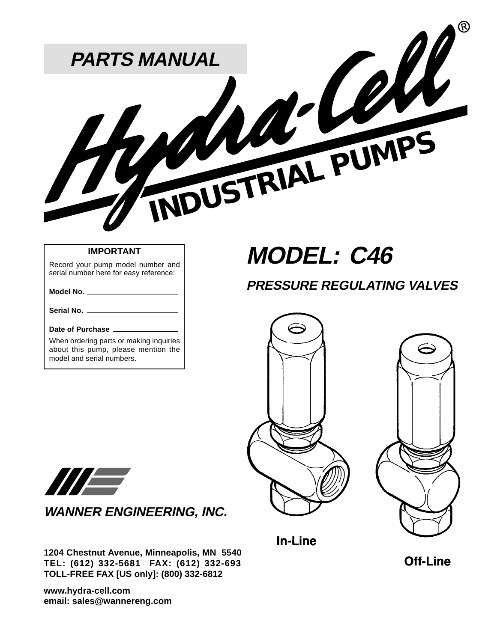

### **IMPORTANT**

Record your pump model number and serial number here for easy reference:

#### **Model No.**

**Serial No.**

### **Date of Purchase**

When ordering parts or making inquiries about this pump, please mention the model and serial numbers.

# **MODEL: C46**

### **PRESSURE REGULATING VALVES**







**WANNER ENGINEERING, INC.**

**1204 Chestnut Avenue, Minneapolis, MN 55403 TEL: (612) 332-5681 FAX: (612) 332-6937 TOLL-FREE FAX [US only]: (800) 332-6812**

**www.hydra-cell.com email: sales@wannereng.com** In-Line

**Off-Line**